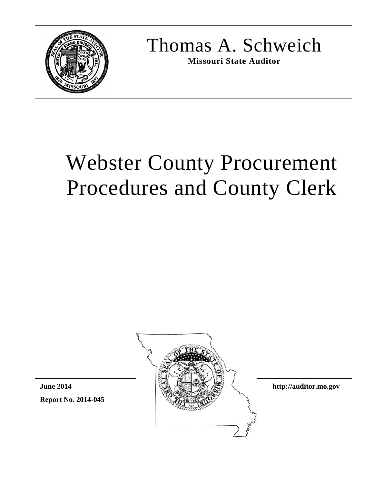

Thomas A. Schweich

**Missouri State Auditor**

# Webster County Procurement Procedures and County Clerk





**http://auditor.mo.gov**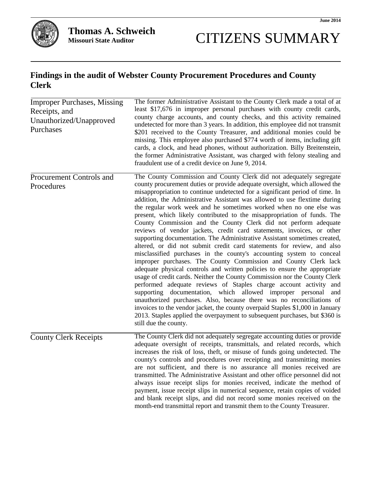

## CITIZENS SUMMARY

## **Findings in the audit of Webster County Procurement Procedures and County Clerk**

| <b>Improper Purchases, Missing</b><br>Receipts, and<br>Unauthorized/Unapproved<br>Purchases | The former Administrative Assistant to the County Clerk made a total of at<br>least \$17,676 in improper personal purchases with county credit cards,<br>county charge accounts, and county checks, and this activity remained<br>undetected for more than 3 years. In addition, this employee did not transmit<br>\$201 received to the County Treasurer, and additional monies could be<br>missing. This employee also purchased \$774 worth of items, including gift<br>cards, a clock, and head phones, without authorization. Billy Breitenstein,<br>the former Administrative Assistant, was charged with felony stealing and<br>fraudulent use of a credit device on June 9, 2014.                                                                                                                                                                                                                                                                                                                                                                                                                                                                                                                                                                                                                                                                                                                                                                                          |
|---------------------------------------------------------------------------------------------|------------------------------------------------------------------------------------------------------------------------------------------------------------------------------------------------------------------------------------------------------------------------------------------------------------------------------------------------------------------------------------------------------------------------------------------------------------------------------------------------------------------------------------------------------------------------------------------------------------------------------------------------------------------------------------------------------------------------------------------------------------------------------------------------------------------------------------------------------------------------------------------------------------------------------------------------------------------------------------------------------------------------------------------------------------------------------------------------------------------------------------------------------------------------------------------------------------------------------------------------------------------------------------------------------------------------------------------------------------------------------------------------------------------------------------------------------------------------------------|
| Procurement Controls and<br>Procedures                                                      | The County Commission and County Clerk did not adequately segregate<br>county procurement duties or provide adequate oversight, which allowed the<br>misappropriation to continue undetected for a significant period of time. In<br>addition, the Administrative Assistant was allowed to use flextime during<br>the regular work week and he sometimes worked when no one else was<br>present, which likely contributed to the misappropriation of funds. The<br>County Commission and the County Clerk did not perform adequate<br>reviews of vendor jackets, credit card statements, invoices, or other<br>supporting documentation. The Administrative Assistant sometimes created,<br>altered, or did not submit credit card statements for review, and also<br>misclassified purchases in the county's accounting system to conceal<br>improper purchases. The County Commission and County Clerk lack<br>adequate physical controls and written policies to ensure the appropriate<br>usage of credit cards. Neither the County Commission nor the County Clerk<br>performed adequate reviews of Staples charge account activity and<br>supporting documentation, which allowed improper personal<br>and<br>unauthorized purchases. Also, because there was no reconciliations of<br>invoices to the vendor jacket, the county overpaid Staples \$1,000 in January<br>2013. Staples applied the overpayment to subsequent purchases, but \$360 is<br>still due the county. |
| <b>County Clerk Receipts</b>                                                                | The County Clerk did not adequately segregate accounting duties or provide<br>adequate oversight of receipts, transmittals, and related records, which<br>increases the risk of loss, theft, or misuse of funds going undetected. The<br>county's controls and procedures over receipting and transmitting monies<br>are not sufficient, and there is no assurance all monies received are<br>transmitted. The Administrative Assistant and other office personnel did not<br>always issue receipt slips for monies received, indicate the method of<br>payment, issue receipt slips in numerical sequence, retain copies of voided<br>and blank receipt slips, and did not record some monies received on the<br>month-end transmittal report and transmit them to the County Treasurer.                                                                                                                                                                                                                                                                                                                                                                                                                                                                                                                                                                                                                                                                                          |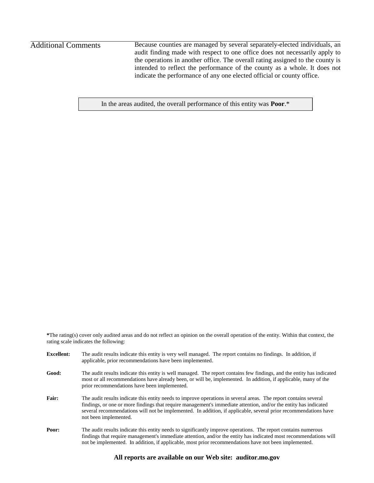## Additional Comments

Because counties are managed by several separately-elected individuals, an audit finding made with respect to one office does not necessarily apply to the operations in another office. The overall rating assigned to the county is intended to reflect the performance of the county as a whole. It does not indicate the performance of any one elected official or county office.

In the areas audited, the overall performance of this entity was **Poor**.\*

**\***The rating(s) cover only audited areas and do not reflect an opinion on the overall operation of the entity. Within that context, the rating scale indicates the following:

| <b>Excellent:</b> | The audit results indicate this entity is very well managed. The report contains no findings. In addition, if<br>applicable, prior recommendations have been implemented.                                                                                                                                                                                                        |
|-------------------|----------------------------------------------------------------------------------------------------------------------------------------------------------------------------------------------------------------------------------------------------------------------------------------------------------------------------------------------------------------------------------|
| Good:             | The audit results indicate this entity is well managed. The report contains few findings, and the entity has indicated<br>most or all recommendations have already been, or will be, implemented. In addition, if applicable, many of the<br>prior recommendations have been implemented.                                                                                        |
| Fair:             | The audit results indicate this entity needs to improve operations in several areas. The report contains several<br>findings, or one or more findings that require management's immediate attention, and/or the entity has indicated<br>several recommendations will not be implemented. In addition, if applicable, several prior recommendations have<br>not been implemented. |
| Poor:             | The audit results indicate this entity needs to significantly improve operations. The report contains numerous<br>findings that require management's immediate attention, and/or the entity has indicated most recommendations will<br>not be implemented. In addition, if applicable, most prior recommendations have not been implemented.                                     |

#### **All reports are available on our Web site: auditor.mo.gov**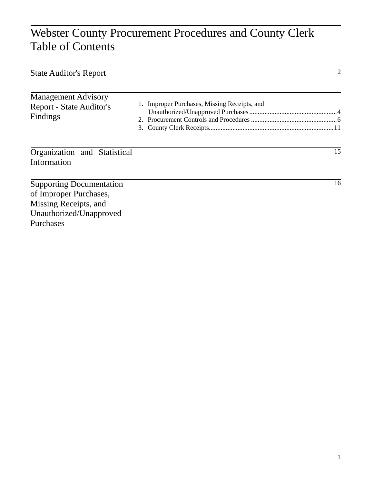## Webster County Procurement Procedures and County Clerk Table of Contents

| <b>State Auditor's Report</b>                                                                                 |                                              | $\overline{2}$ |
|---------------------------------------------------------------------------------------------------------------|----------------------------------------------|----------------|
| <b>Management Advisory</b><br><b>Report - State Auditor's</b><br>Findings                                     | 1. Improper Purchases, Missing Receipts, and |                |
| Organization and Statistical<br>Information                                                                   |                                              | 15             |
| <b>Supporting Documentation</b><br>of Improper Purchases,<br>Missing Receipts, and<br>Unauthorized/Unapproved |                                              | 16             |

Purchases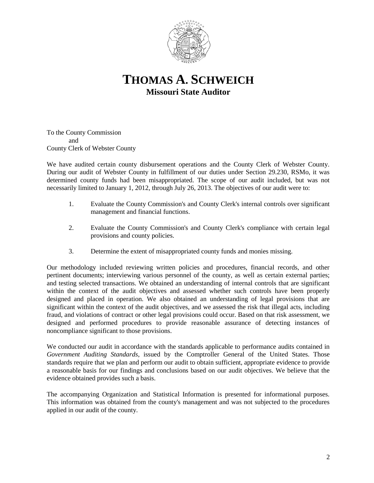

## **THOMAS A. SCHWEICH Missouri State Auditor**

To the County Commission and County Clerk of Webster County

We have audited certain county disbursement operations and the County Clerk of Webster County. During our audit of Webster County in fulfillment of our duties under Section 29.230, RSMo, it was determined county funds had been misappropriated. The scope of our audit included, but was not necessarily limited to January 1, 2012, through July 26, 2013. The objectives of our audit were to:

- 1. Evaluate the County Commission's and County Clerk's internal controls over significant management and financial functions.
- 2. Evaluate the County Commission's and County Clerk's compliance with certain legal provisions and county policies.
- 3. Determine the extent of misappropriated county funds and monies missing.

Our methodology included reviewing written policies and procedures, financial records, and other pertinent documents; interviewing various personnel of the county, as well as certain external parties; and testing selected transactions. We obtained an understanding of internal controls that are significant within the context of the audit objectives and assessed whether such controls have been properly designed and placed in operation. We also obtained an understanding of legal provisions that are significant within the context of the audit objectives, and we assessed the risk that illegal acts, including fraud, and violations of contract or other legal provisions could occur. Based on that risk assessment, we designed and performed procedures to provide reasonable assurance of detecting instances of noncompliance significant to those provisions.

We conducted our audit in accordance with the standards applicable to performance audits contained in *Government Auditing Standards*, issued by the Comptroller General of the United States. Those standards require that we plan and perform our audit to obtain sufficient, appropriate evidence to provide a reasonable basis for our findings and conclusions based on our audit objectives. We believe that the evidence obtained provides such a basis.

The accompanying Organization and Statistical Information is presented for informational purposes. This information was obtained from the county's management and was not subjected to the procedures applied in our audit of the county.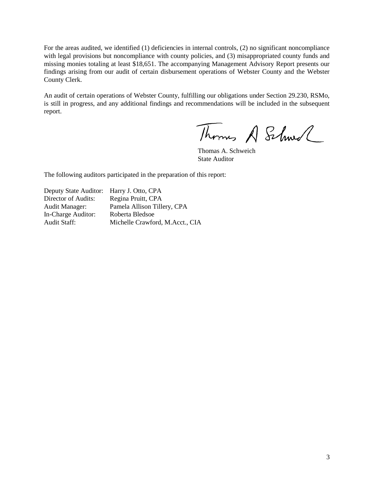For the areas audited, we identified (1) deficiencies in internal controls, (2) no significant noncompliance with legal provisions but noncompliance with county policies, and (3) misappropriated county funds and missing monies totaling at least \$18,651. The accompanying Management Advisory Report presents our findings arising from our audit of certain disbursement operations of Webster County and the Webster County Clerk.

An audit of certain operations of Webster County, fulfilling our obligations under Section 29.230, RSMo, is still in progress, and any additional findings and recommendations will be included in the subsequent report.

Thomas A Schwel

Thomas A. Schweich State Auditor

The following auditors participated in the preparation of this report:

Deputy State Auditor: Harry J. Otto, CPA Director of Audits: Regina Pruitt, CPA Audit Manager: Pamela Allison Tillery, CPA In-Charge Auditor: Roberta Bledsoe Audit Staff: Michelle Crawford, M.Acct., CIA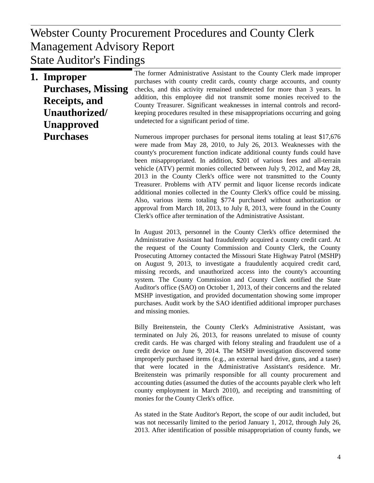## $W<sub>P</sub>$  Poport Management Advisory Report Webster County Procurement Procedures and County Clerk State Auditor's Findings

**1. Improper Purchases, Missing Receipts, and Unauthorized/ Unapproved Purchases**

The former Administrative Assistant to the County Clerk made improper purchases with county credit cards, county charge accounts, and county checks, and this activity remained undetected for more than 3 years. In addition, this employee did not transmit some monies received to the County Treasurer. Significant weaknesses in internal controls and recordkeeping procedures resulted in these misappropriations occurring and going undetected for a significant period of time.

Numerous improper purchases for personal items totaling at least \$17,676 were made from May 28, 2010, to July 26, 2013. Weaknesses with the county's procurement function indicate additional county funds could have been misappropriated. In addition, \$201 of various fees and all-terrain vehicle (ATV) permit monies collected between July 9, 2012, and May 28, 2013 in the County Clerk's office were not transmitted to the County Treasurer. Problems with ATV permit and liquor license records indicate additional monies collected in the County Clerk's office could be missing. Also, various items totaling \$774 purchased without authorization or approval from March 18, 2013, to July 8, 2013, were found in the County Clerk's office after termination of the Administrative Assistant.

In August 2013, personnel in the County Clerk's office determined the Administrative Assistant had fraudulently acquired a county credit card. At the request of the County Commission and County Clerk, the County Prosecuting Attorney contacted the Missouri State Highway Patrol (MSHP) on August 9, 2013, to investigate a fraudulently acquired credit card, missing records, and unauthorized access into the county's accounting system. The County Commission and County Clerk notified the State Auditor's office (SAO) on October 1, 2013, of their concerns and the related MSHP investigation, and provided documentation showing some improper purchases. Audit work by the SAO identified additional improper purchases and missing monies.

Billy Breitenstein, the County Clerk's Administrative Assistant, was terminated on July 26, 2013, for reasons unrelated to misuse of county credit cards. He was charged with felony stealing and fraudulent use of a credit device on June 9, 2014. The MSHP investigation discovered some improperly purchased items (e.g., an external hard drive, guns, and a taser) that were located in the Administrative Assistant's residence. Mr. Breitenstein was primarily responsible for all county procurement and accounting duties (assumed the duties of the accounts payable clerk who left county employment in March 2010), and receipting and transmitting of monies for the County Clerk's office.

As stated in the State Auditor's Report, the scope of our audit included, but was not necessarily limited to the period January 1, 2012, through July 26, 2013. After identification of possible misappropriation of county funds, we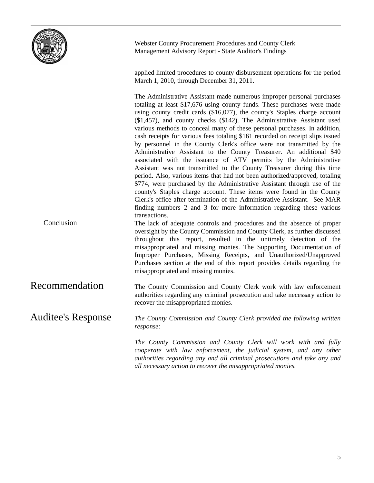

applied limited procedures to county disbursement operations for the period March 1, 2010, through December 31, 2011.

The Administrative Assistant made numerous improper personal purchases totaling at least \$17,676 using county funds. These purchases were made using county credit cards (\$16,077), the county's Staples charge account (\$1,457), and county checks (\$142). The Administrative Assistant used various methods to conceal many of these personal purchases. In addition, cash receipts for various fees totaling \$161 recorded on receipt slips issued by personnel in the County Clerk's office were not transmitted by the Administrative Assistant to the County Treasurer. An additional \$40 associated with the issuance of ATV permits by the Administrative Assistant was not transmitted to the County Treasurer during this time period. Also, various items that had not been authorized/approved, totaling \$774, were purchased by the Administrative Assistant through use of the county's Staples charge account. These items were found in the County Clerk's office after termination of the Administrative Assistant. See MAR finding numbers 2 and 3 for more information regarding these various transactions.

The lack of adequate controls and procedures and the absence of proper oversight by the County Commission and County Clerk, as further discussed throughout this report, resulted in the untimely detection of the misappropriated and missing monies. The Supporting Documentation of Improper Purchases, Missing Receipts, and Unauthorized/Unapproved Purchases section at the end of this report provides details regarding the misappropriated and missing monies. Conclusion

The County Commission and County Clerk work with law enforcement authorities regarding any criminal prosecution and take necessary action to recover the misappropriated monies. Recommendation

*The County Commission and County Clerk provided the following written response:* Auditee's Response

> *The County Commission and County Clerk will work with and fully cooperate with law enforcement, the judicial system, and any other authorities regarding any and all criminal prosecutions and take any and all necessary action to recover the misappropriated monies.*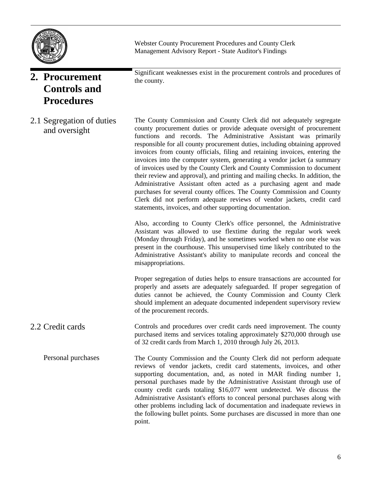

**2. Procurement Controls and Procedures**

2.1 Segregation of duties and oversight

Significant weaknesses exist in the procurement controls and procedures of the county.

The County Commission and County Clerk did not adequately segregate county procurement duties or provide adequate oversight of procurement functions and records. The Administrative Assistant was primarily responsible for all county procurement duties, including obtaining approved invoices from county officials, filing and retaining invoices, entering the invoices into the computer system, generating a vendor jacket (a summary of invoices used by the County Clerk and County Commission to document their review and approval), and printing and mailing checks. In addition, the Administrative Assistant often acted as a purchasing agent and made purchases for several county offices. The County Commission and County Clerk did not perform adequate reviews of vendor jackets, credit card statements, invoices, and other supporting documentation.

Also, according to County Clerk's office personnel, the Administrative Assistant was allowed to use flextime during the regular work week (Monday through Friday), and he sometimes worked when no one else was present in the courthouse. This unsupervised time likely contributed to the Administrative Assistant's ability to manipulate records and conceal the misappropriations.

Proper segregation of duties helps to ensure transactions are accounted for properly and assets are adequately safeguarded. If proper segregation of duties cannot be achieved, the County Commission and County Clerk should implement an adequate documented independent supervisory review of the procurement records.

- Controls and procedures over credit cards need improvement. The county purchased items and services totaling approximately \$270,000 through use of 32 credit cards from March 1, 2010 through July 26, 2013. 2.2 Credit cards
- The County Commission and the County Clerk did not perform adequate reviews of vendor jackets, credit card statements, invoices, and other supporting documentation, and, as noted in MAR finding number 1, personal purchases made by the Administrative Assistant through use of county credit cards totaling \$16,077 went undetected. We discuss the Administrative Assistant's efforts to conceal personal purchases along with other problems including lack of documentation and inadequate reviews in the following bullet points. Some purchases are discussed in more than one point. Personal purchases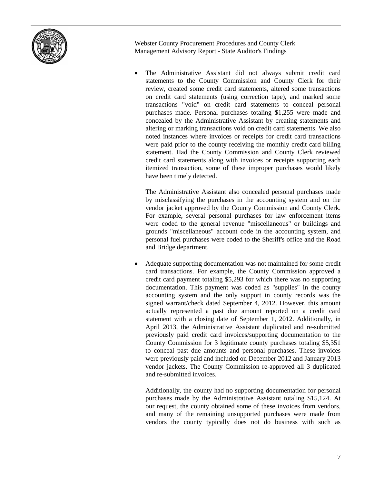

 The Administrative Assistant did not always submit credit card statements to the County Commission and County Clerk for their review, created some credit card statements, altered some transactions on credit card statements (using correction tape), and marked some transactions "void" on credit card statements to conceal personal purchases made. Personal purchases totaling \$1,255 were made and concealed by the Administrative Assistant by creating statements and altering or marking transactions void on credit card statements. We also noted instances where invoices or receipts for credit card transactions were paid prior to the county receiving the monthly credit card billing statement. Had the County Commission and County Clerk reviewed credit card statements along with invoices or receipts supporting each itemized transaction, some of these improper purchases would likely have been timely detected.

The Administrative Assistant also concealed personal purchases made by misclassifying the purchases in the accounting system and on the vendor jacket approved by the County Commission and County Clerk. For example, several personal purchases for law enforcement items were coded to the general revenue "miscellaneous" or buildings and grounds "miscellaneous" account code in the accounting system, and personal fuel purchases were coded to the Sheriff's office and the Road and Bridge department.

 Adequate supporting documentation was not maintained for some credit card transactions. For example, the County Commission approved a credit card payment totaling \$5,293 for which there was no supporting documentation. This payment was coded as "supplies" in the county accounting system and the only support in county records was the signed warrant/check dated September 4, 2012. However, this amount actually represented a past due amount reported on a credit card statement with a closing date of September 1, 2012. Additionally, in April 2013, the Administrative Assistant duplicated and re-submitted previously paid credit card invoices/supporting documentation to the County Commission for 3 legitimate county purchases totaling \$5,351 to conceal past due amounts and personal purchases. These invoices were previously paid and included on December 2012 and January 2013 vendor jackets. The County Commission re-approved all 3 duplicated and re-submitted invoices.

Additionally, the county had no supporting documentation for personal purchases made by the Administrative Assistant totaling \$15,124. At our request, the county obtained some of these invoices from vendors, and many of the remaining unsupported purchases were made from vendors the county typically does not do business with such as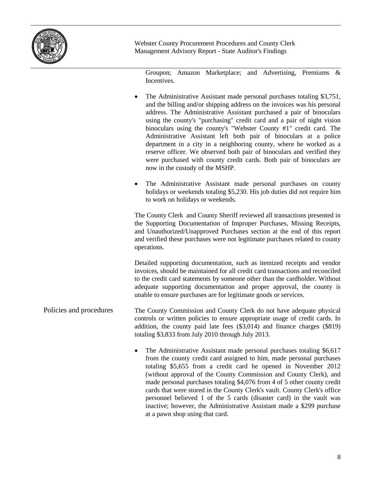

Groupon; Amazon Marketplace; and Advertising, Premiums & Incentives.

|                         | The Administrative Assistant made personal purchases totaling \$3,751,<br>and the billing and/or shipping address on the invoices was his personal<br>address. The Administrative Assistant purchased a pair of binoculars<br>using the county's "purchasing" credit card and a pair of night vision<br>binoculars using the county's "Webster County #1" credit card. The<br>Administrative Assistant left both pair of binoculars at a police<br>department in a city in a neighboring county, where he worked as a<br>reserve officer. We observed both pair of binoculars and verified they<br>were purchased with county credit cards. Both pair of binoculars are<br>now in the custody of the MSHP. |
|-------------------------|------------------------------------------------------------------------------------------------------------------------------------------------------------------------------------------------------------------------------------------------------------------------------------------------------------------------------------------------------------------------------------------------------------------------------------------------------------------------------------------------------------------------------------------------------------------------------------------------------------------------------------------------------------------------------------------------------------|
|                         | The Administrative Assistant made personal purchases on county<br>$\bullet$<br>holidays or weekends totaling \$5,230. His job duties did not require him<br>to work on holidays or weekends.                                                                                                                                                                                                                                                                                                                                                                                                                                                                                                               |
|                         | The County Clerk and County Sheriff reviewed all transactions presented in<br>the Supporting Documentation of Improper Purchases, Missing Receipts,<br>and Unauthorized/Unapproved Purchases section at the end of this report<br>and verified these purchases were not legitimate purchases related to county<br>operations.                                                                                                                                                                                                                                                                                                                                                                              |
|                         | Detailed supporting documentation, such as itemized receipts and vendor<br>invoices, should be maintained for all credit card transactions and reconciled<br>to the credit card statements by someone other than the cardholder. Without<br>adequate supporting documentation and proper approval, the county is<br>unable to ensure purchases are for legitimate goods or services.                                                                                                                                                                                                                                                                                                                       |
| Policies and procedures | The County Commission and County Clerk do not have adequate physical<br>controls or written policies to ensure appropriate usage of credit cards. In<br>addition, the county paid late fees (\$3,014) and finance charges (\$819)<br>totaling \$3,833 from July 2010 through July 2013.                                                                                                                                                                                                                                                                                                                                                                                                                    |
|                         | The Administrative Assistant made personal purchases totaling \$6,617<br>$\bullet$<br>from the county credit card assigned to him, made personal purchases<br>totaling \$5,655 from a credit card he opened in November 2012<br>(without approval of the County Commission and County Clerk), and<br>made personal purchases totaling \$4,076 from 4 of 5 other county credit<br>$\mathbf{1}$ and $\mathbf{1}$ and $\mathbf{1}$ and $\mathbf{1}$ and $\mathbf{1}$ and $\mathbf{1}$ and $\mathbf{1}$ and $\mathbf{1}$ and $\mathbf{1}$ and $\mathbf{1}$ and $\mathbf{1}$ and $\mathbf{1}$ and $\mathbf{1}$ and $\mathbf{1}$ and $\mathbf{1}$ and $\mathbf{1}$ and $\mathbf{1}$ and                          |

cards that were stored in the County Clerk's vault. County Clerk's office personnel believed 1 of the 5 cards (disaster card) in the vault was inactive; however, the Administrative Assistant made a \$299 purchase at a pawn shop using that card.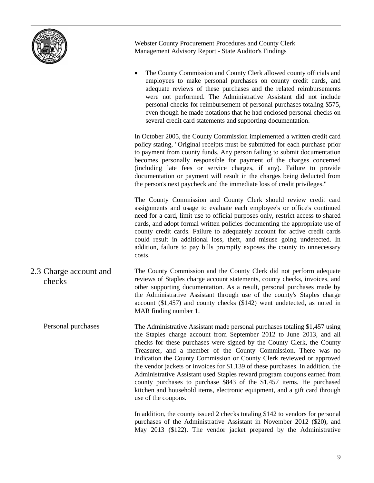

 The County Commission and County Clerk allowed county officials and employees to make personal purchases on county credit cards, and adequate reviews of these purchases and the related reimbursements were not performed. The Administrative Assistant did not include personal checks for reimbursement of personal purchases totaling \$575, even though he made notations that he had enclosed personal checks on several credit card statements and supporting documentation. In October 2005, the County Commission implemented a written credit card policy stating, "Original receipts must be submitted for each purchase prior to payment from county funds. Any person failing to submit documentation becomes personally responsible for payment of the charges concerned (including late fees or service charges, if any). Failure to provide documentation or payment will result in the charges being deducted from the person's next paycheck and the immediate loss of credit privileges." The County Commission and County Clerk should review credit card assignments and usage to evaluate each employee's or office's continued need for a card, limit use to official purposes only, restrict access to shared cards, and adopt formal written policies documenting the appropriate use of county credit cards. Failure to adequately account for active credit cards could result in additional loss, theft, and misuse going undetected. In addition, failure to pay bills promptly exposes the county to unnecessary costs. The County Commission and the County Clerk did not perform adequate reviews of Staples charge account statements, county checks, invoices, and other supporting documentation. As a result, personal purchases made by the Administrative Assistant through use of the county's Staples charge account (\$1,457) and county checks (\$142) went undetected, as noted in MAR finding number 1. The Administrative Assistant made personal purchases totaling \$1,457 using the Staples charge account from September 2012 to June 2013, and all checks for these purchases were signed by the County Clerk, the County Treasurer, and a member of the County Commission. There was no indication the County Commission or County Clerk reviewed or approved the vendor jackets or invoices for \$1,139 of these purchases. In addition, the Administrative Assistant used Staples reward program coupons earned from county purchases to purchase \$843 of the \$1,457 items. He purchased kitchen and household items, electronic equipment, and a gift card through use of the coupons. 2.3 Charge account and checks Personal purchases

> In addition, the county issued 2 checks totaling \$142 to vendors for personal purchases of the Administrative Assistant in November 2012 (\$20), and May 2013 (\$122). The vendor jacket prepared by the Administrative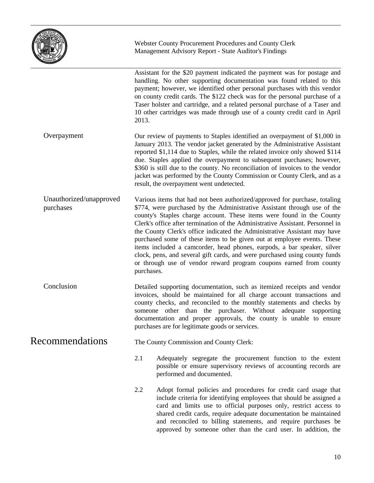

|                                      | Assistant for the \$20 payment indicated the payment was for postage and<br>handling. No other supporting documentation was found related to this<br>payment; however, we identified other personal purchases with this vendor<br>on county credit cards. The \$122 check was for the personal purchase of a<br>Taser holster and cartridge, and a related personal purchase of a Taser and<br>10 other cartridges was made through use of a county credit card in April<br>2013.                                                                                                                                                                                                                                      |  |
|--------------------------------------|------------------------------------------------------------------------------------------------------------------------------------------------------------------------------------------------------------------------------------------------------------------------------------------------------------------------------------------------------------------------------------------------------------------------------------------------------------------------------------------------------------------------------------------------------------------------------------------------------------------------------------------------------------------------------------------------------------------------|--|
| Overpayment                          | Our review of payments to Staples identified an overpayment of \$1,000 in<br>January 2013. The vendor jacket generated by the Administrative Assistant<br>reported \$1,114 due to Staples, while the related invoice only showed \$114<br>due. Staples applied the overpayment to subsequent purchases; however,<br>\$360 is still due to the county. No reconciliation of invoices to the vendor<br>jacket was performed by the County Commission or County Clerk, and as a<br>result, the overpayment went undetected.                                                                                                                                                                                               |  |
| Unauthorized/unapproved<br>purchases | Various items that had not been authorized/approved for purchase, totaling<br>\$774, were purchased by the Administrative Assistant through use of the<br>county's Staples charge account. These items were found in the County<br>Clerk's office after termination of the Administrative Assistant. Personnel in<br>the County Clerk's office indicated the Administrative Assistant may have<br>purchased some of these items to be given out at employee events. These<br>items included a camcorder, head phones, earpods, a bar speaker, silver<br>clock, pens, and several gift cards, and were purchased using county funds<br>or through use of vendor reward program coupons earned from county<br>purchases. |  |
| Conclusion                           | Detailed supporting documentation, such as itemized receipts and vendor<br>invoices, should be maintained for all charge account transactions and<br>county checks, and reconciled to the monthly statements and checks by<br>someone other than the purchaser. Without adequate supporting<br>documentation and proper approvals, the county is unable to ensure<br>purchases are for legitimate goods or services.                                                                                                                                                                                                                                                                                                   |  |
| <b>Recommendations</b>               | The County Commission and County Clerk:                                                                                                                                                                                                                                                                                                                                                                                                                                                                                                                                                                                                                                                                                |  |
|                                      | 2.1<br>Adequately segregate the procurement function to the extent<br>possible or ensure supervisory reviews of accounting records are<br>performed and documented.                                                                                                                                                                                                                                                                                                                                                                                                                                                                                                                                                    |  |
|                                      | 2.2<br>Adopt formal policies and procedures for credit card usage that<br>include criteria for identifying employees that should be assigned a<br>card and limits use to official purposes only, restrict access to<br>shared credit cards, require adequate documentation be maintained<br>and reconciled to billing statements, and require purchases be<br>approved by someone other than the card user. In addition, the                                                                                                                                                                                                                                                                                           |  |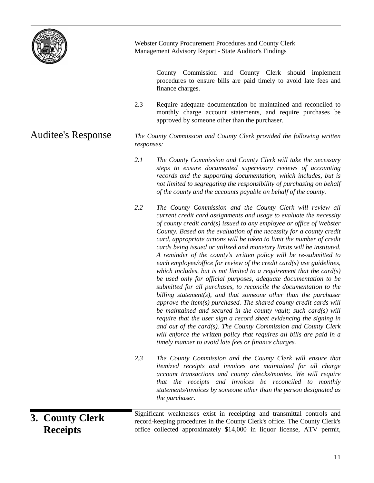

Auditee's Response

Webster County Procurement Procedures and County Clerk Management Advisory Report - State Auditor's Findings

County Commission and County Clerk should implement procedures to ensure bills are paid timely to avoid late fees and finance charges.

2.3 Require adequate documentation be maintained and reconciled to monthly charge account statements, and require purchases be approved by someone other than the purchaser.

*The County Commission and County Clerk provided the following written responses:*

- *2.1 The County Commission and County Clerk will take the necessary steps to ensure documented supervisory reviews of accounting records and the supporting documentation, which includes, but is not limited to segregating the responsibility of purchasing on behalf of the county and the accounts payable on behalf of the county.*
- *2.2 The County Commission and the County Clerk will review all current credit card assignments and usage to evaluate the necessity of county credit card(s) issued to any employee or office of Webster County. Based on the evaluation of the necessity for a county credit card, appropriate actions will be taken to limit the number of credit cards being issued or utilized and monetary limits will be instituted. A reminder of the county's written policy will be re-submitted to each employee/office for review of the credit card(s) use guidelines, which includes, but is not limited to a requirement that the card(s) be used only for official purposes, adequate documentation to be submitted for all purchases, to reconcile the documentation to the billing statement(s), and that someone other than the purchaser approve the item(s) purchased. The shared county credit cards will be maintained and secured in the county vault; such card(s) will require that the user sign a record sheet evidencing the signing in and out of the card(s). The County Commission and County Clerk will enforce the written policy that requires all bills are paid in a timely manner to avoid late fees or finance charges.*
- *2.3 The County Commission and the County Clerk will ensure that itemized receipts and invoices are maintained for all charge account transactions and county checks/monies. We will require that the receipts and invoices be reconciled to monthly statements/invoices by someone other than the person designated as the purchaser.*

**3. County Clerk Receipts**

Significant weaknesses exist in receipting and transmittal controls and record-keeping procedures in the County Clerk's office. The County Clerk's office collected approximately \$14,000 in liquor license, ATV permit,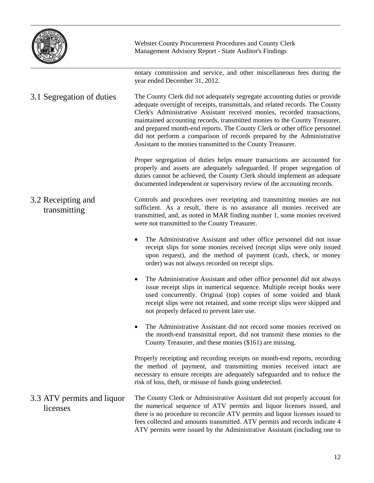

|                                        | notary commission and service, and other miscellaneous fees during the<br>year ended December 31, 2012.                                                                                                                                                                                                                                                                                                                                                                                                                                       |
|----------------------------------------|-----------------------------------------------------------------------------------------------------------------------------------------------------------------------------------------------------------------------------------------------------------------------------------------------------------------------------------------------------------------------------------------------------------------------------------------------------------------------------------------------------------------------------------------------|
| 3.1 Segregation of duties              | The County Clerk did not adequately segregate accounting duties or provide<br>adequate oversight of receipts, transmittals, and related records. The County<br>Clerk's Administrative Assistant received monies, recorded transactions,<br>maintained accounting records, transmitted monies to the County Treasurer,<br>and prepared month-end reports. The County Clerk or other office personnel<br>did not perform a comparison of records prepared by the Administrative<br>Assistant to the monies transmitted to the County Treasurer. |
|                                        | Proper segregation of duties helps ensure transactions are accounted for<br>properly and assets are adequately safeguarded. If proper segregation of<br>duties cannot be achieved, the County Clerk should implement an adequate<br>documented independent or supervisory review of the accounting records.                                                                                                                                                                                                                                   |
| 3.2 Receipting and<br>transmitting     | Controls and procedures over receipting and transmitting monies are not<br>sufficient. As a result, there is no assurance all monies received are<br>transmitted, and, as noted in MAR finding number 1, some monies received<br>were not transmitted to the County Treasurer.                                                                                                                                                                                                                                                                |
|                                        | The Administrative Assistant and other office personnel did not issue<br>$\bullet$<br>receipt slips for some monies received (receipt slips were only issued<br>upon request), and the method of payment (cash, check, or money<br>order) was not always recorded on receipt slips.                                                                                                                                                                                                                                                           |
|                                        | The Administrative Assistant and other office personnel did not always<br>$\bullet$<br>issue receipt slips in numerical sequence. Multiple receipt books were<br>used concurrently. Original (top) copies of some voided and blank<br>receipt slips were not retained, and some receipt slips were skipped and<br>not properly defaced to prevent later use.                                                                                                                                                                                  |
|                                        | The Administrative Assistant did not record some monies received on<br>the month-end transmittal report, did not transmit these monies to the<br>County Treasurer, and these monies (\$161) are missing.                                                                                                                                                                                                                                                                                                                                      |
|                                        | Properly receipting and recording receipts on month-end reports, recording<br>the method of payment, and transmitting monies received intact are<br>necessary to ensure receipts are adequately safeguarded and to reduce the<br>risk of loss, theft, or misuse of funds going undetected.                                                                                                                                                                                                                                                    |
| 3.3 ATV permits and liquor<br>licenses | The County Clerk or Administrative Assistant did not properly account for<br>the numerical sequence of ATV permits and liquor licenses issued, and<br>there is no procedure to reconcile ATV permits and liquor licenses issued to<br>fees collected and amounts transmitted. ATV permits and records indicate 4<br>ATV permits were issued by the Administrative Assistant (including one to                                                                                                                                                 |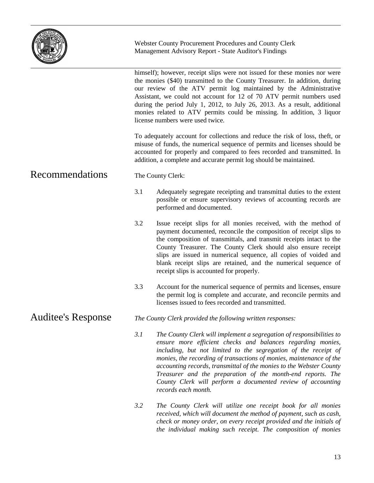

himself); however, receipt slips were not issued for these monies nor were the monies (\$40) transmitted to the County Treasurer. In addition, during our review of the ATV permit log maintained by the Administrative Assistant, we could not account for 12 of 70 ATV permit numbers used during the period July 1, 2012, to July 26, 2013. As a result, additional monies related to ATV permits could be missing. In addition, 3 liquor license numbers were used twice.

To adequately account for collections and reduce the risk of loss, theft, or misuse of funds, the numerical sequence of permits and licenses should be accounted for properly and compared to fees recorded and transmitted. In addition, a complete and accurate permit log should be maintained.

## Recommendations

The County Clerk:

- 3.1 Adequately segregate receipting and transmittal duties to the extent possible or ensure supervisory reviews of accounting records are performed and documented.
- 3.2 Issue receipt slips for all monies received, with the method of payment documented, reconcile the composition of receipt slips to the composition of transmittals, and transmit receipts intact to the County Treasurer. The County Clerk should also ensure receipt slips are issued in numerical sequence, all copies of voided and blank receipt slips are retained, and the numerical sequence of receipt slips is accounted for properly.
- 3.3 Account for the numerical sequence of permits and licenses, ensure the permit log is complete and accurate, and reconcile permits and licenses issued to fees recorded and transmitted.

#### *The County Clerk provided the following written responses:* Auditee's Response

- *3.1 The County Clerk will implement a segregation of responsibilities to ensure more efficient checks and balances regarding monies, including, but not limited to the segregation of the receipt of monies, the recording of transactions of monies, maintenance of the accounting records, transmittal of the monies to the Webster County Treasurer and the preparation of the month-end reports. The County Clerk will perform a documented review of accounting records each month.*
- *3.2 The County Clerk will utilize one receipt book for all monies received, which will document the method of payment, such as cash, check or money order, on every receipt provided and the initials of the individual making such receipt. The composition of monies*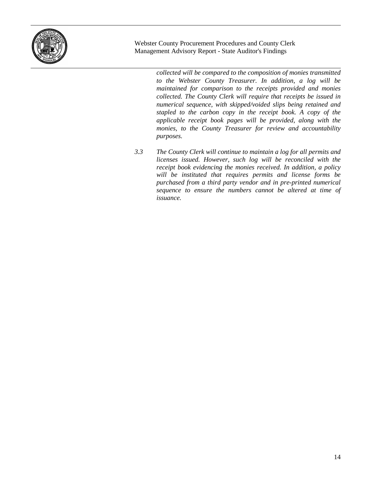

> *collected will be compared to the composition of monies transmitted to the Webster County Treasurer. In addition, a log will be maintained for comparison to the receipts provided and monies collected. The County Clerk will require that receipts be issued in numerical sequence, with skipped/voided slips being retained and stapled to the carbon copy in the receipt book. A copy of the applicable receipt book pages will be provided, along with the monies, to the County Treasurer for review and accountability purposes.*

*3.3 The County Clerk will continue to maintain a log for all permits and licenses issued. However, such log will be reconciled with the receipt book evidencing the monies received. In addition, a policy will be instituted that requires permits and license forms be purchased from a third party vendor and in pre-printed numerical sequence to ensure the numbers cannot be altered at time of issuance.*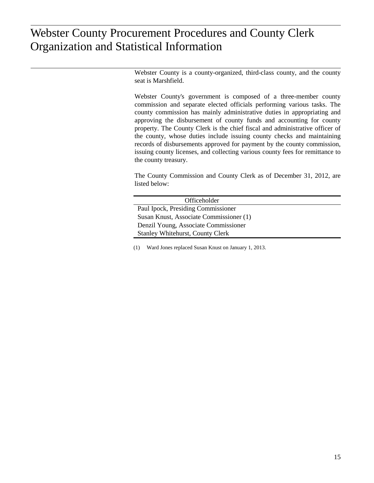## $\frac{1}{2}$ Organization and Statistical Information Organization and Statistical InformationWebster County Procurement Procedures and County Clerk

Webster County is a county-organized, third-class county, and the county seat is Marshfield.

Webster County's government is composed of a three-member county commission and separate elected officials performing various tasks. The county commission has mainly administrative duties in appropriating and approving the disbursement of county funds and accounting for county property. The County Clerk is the chief fiscal and administrative officer of the county, whose duties include issuing county checks and maintaining records of disbursements approved for payment by the county commission, issuing county licenses, and collecting various county fees for remittance to the county treasury.

The County Commission and County Clerk as of December 31, 2012, are listed below:

| Officeholder                            |
|-----------------------------------------|
| Paul Ipock, Presiding Commissioner      |
| Susan Knust, Associate Commissioner (1) |
| Denzil Young, Associate Commissioner    |
| <b>Stanley Whitehurst, County Clerk</b> |

(1) Ward Jones replaced Susan Knust on January 1, 2013.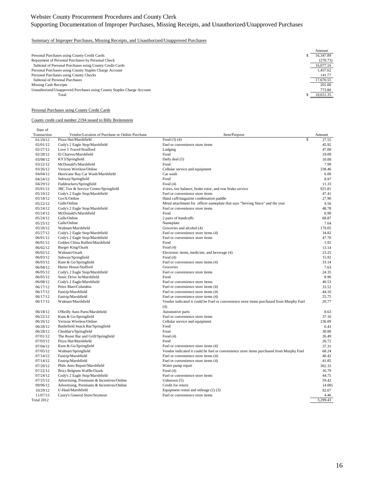## Supporting Documentation of Improper Purchases, Missing Receipts, and Unauthorized/Unapproved Purchases

#### Summary of Improper Purchases, Missing Receipts, and Unauthorized/Unapproved Purchases

|                                                                       | Amount    |
|-----------------------------------------------------------------------|-----------|
| Personal Purchases using County Credit Cards                          | 16.347.89 |
| Repayment of Personal Purchases by Personal Check                     | (270.73)  |
| Subtotal of Personal Purchases using County Credit Cards              | 16,077.16 |
| Personal Purchases using County Staples Charge Account                | 1.457.62  |
| Personal Purchases using County Checks                                | 141.77    |
| <b>Subtotal of Personal Purchases</b>                                 | 17,676.55 |
| Missing Cash Receipts                                                 | 201.00    |
| Unauthorized/Unapproved Purchases using County Staples Charge Account | 773.80    |
| Total                                                                 | 18,651.35 |
|                                                                       |           |

#### Personal Purchases using County Credit Cards

#### County credit card number 2194 issued to Billy Breitenstein

Date of

| Transaction | Vendor/Location of Purchase or Online Purchase | Item/Purpose                                                                                   | Amount   |
|-------------|------------------------------------------------|------------------------------------------------------------------------------------------------|----------|
| 01/29/12    | Pizza Hut/Marshfield                           | \$<br>Food $(3)$ $(4)$                                                                         | 27.55    |
| 02/01/12    | Cody's 2 Eagle Stop/Marshfield                 | Fuel or convenience store items                                                                | 45.92    |
| 02/27/12    | Love 5 Travel/Strafford                        | Lodging                                                                                        | 47.00    |
| 02/28/12    | El Charros/Marshfield                          | Food                                                                                           | 19.09    |
| 03/08/12    | KY3/Springfield                                | Daily deal (5)                                                                                 | 10.00    |
| 03/22/12    | McDonald's/Marshfield                          | Food                                                                                           | 7.99     |
| 03/26/12    | Verizon Wireless/Online                        | Cellular service and equipment                                                                 | 338.46   |
| 04/04/12    | Hurricane Bay Car Wash/Marshfield              | Car wash                                                                                       | 6.00     |
| 04/24/12    | Subway/Springfield                             | Food                                                                                           | 8.97     |
| 04/29/12    | Fuddruckers/Springfield                        | Food $(4)$                                                                                     | 11.33    |
| 05/01/12    | JBC Tire & Service Center/Springfield          | 4 tires, tire balance, brake rotor, and rear brake service                                     | 925.81   |
| 05/10/12    | Cody's 2 Eagle Stop/Marshfield                 | Fuel or convenience store items                                                                | 47.41    |
| 05/18/12    | GovX/Online                                    | Hand cuff/magazine combination paddle                                                          | 27.90    |
| 05/22/12    | Galls/Online                                   | Metal attachment for officer nameplate that says "Serving Since" and the year                  | 9.56     |
| 05/24/12    | Cody's 2 Eagle Stop/Marshfield                 | Fuel or convenience store items                                                                | 48.78    |
| 05/24/12    | McDonald's/Marshfield                          | Food                                                                                           | 6.90     |
| 05/24/12    | Galls/Online                                   | 2 pairs of handcuffs                                                                           | 68.87    |
| 05/25/12    | Galls/Online                                   | Nameplate                                                                                      | 7.64     |
| 05/26/12    | Walmart/Marshfield                             | Groceries and alcohol (4)                                                                      | 179.05   |
| 05/27/12    | Cody's 2 Eagle Stop/Marshfield                 | Fuel or convenience store items (4)                                                            | 34.82    |
| 06/01/12    | Cody's 2 Eagle Stop/Marshfield                 | Fuel or convenience store items                                                                | 47.70    |
| 06/01/12    | Golden China Buffett/Marshfield                | Food                                                                                           | 5.92     |
| 06/02/12    | Burger King/Ozark                              | Food $(4)$                                                                                     | 13.14    |
| 06/02/12    | Walmart/Ozark                                  | Electronic items, medicine, and beverage (4)                                                   | 23.25    |
| 06/03/12    | Subway/Springfield                             | Food $(4)$                                                                                     | 15.92    |
| 06/03/12    | Kum & Go/Springfield                           | Fuel or convenience store items (4)                                                            | 33.14    |
| 06/04/12    | Harter House/Stafford                          | Groceries                                                                                      | 7.63     |
| 06/05/12    | Cody's 2 Eagle Stop/Marshfield                 | Fuel or convenience store items                                                                | 24.35    |
| 06/05/12    | Sonic Drive In/Marshfield                      | Food                                                                                           | 8.96     |
| 06/08/12    | Cody's 2 Eagle/Marshfield                      | Fuel or convenience store items                                                                | 40.53    |
| 06/17/12    | Petro Mart/Columbia                            | Fuel or convenience store items (4)                                                            | 33.52    |
| 06/17/12    | Fastrip/Marshfield                             | Fuel or convenience store items (4)                                                            | 44.10    |
| 06/17/12    | Fastrip/Marshfield                             | Fuel or convenience store items (4)                                                            | 25.75    |
| 06/17/12    | Walmart/Marshfield                             | Vendor indicated it could be Fuel or convenience store items purchased from Murphy Fuel<br>(4) | 20.77    |
| 06/18/12    | O'Reilly Auto Parts/Marshfield                 | Automotive parts                                                                               | 8.63     |
| 06/22/12    | Kum & Go/Springfield                           | Fuel or convenience store items                                                                | 37.10    |
| 06/26/12    | Verizon Wireless/Online                        | Cellular service and equipment                                                                 | 236.09   |
| 06/28/12    | Battlefield Snack Bar/Springfield              | Food                                                                                           | 6.43     |
| 06/28/12    | Cheddar's/Springfield                          | Food                                                                                           | 30.00    |
| 07/01/12    | The Roost Bar and Grill/Springfield            | Food $(4)$                                                                                     | 26.49    |
| 07/03/12    | Pizza Hut/Marshfield                           | Food                                                                                           | 26.72    |
| 07/04/12    | Kum & Go/Springfield                           | Fuel or convenience store items (4)                                                            | 37.31    |
| 07/05/12    | Walmart/Springfield                            | Vendor indicated it could be fuel or convenience store items purchased from Murphy Fuel        | 68.24    |
| 07/14/12    | Fastrip/Marshfield                             | Fuel or convenience store items (4)                                                            | 40.42    |
| 07/14/12    | Fastrip/Marshfield                             | Fuel or convenience store items (4)                                                            | 41.85    |
| 07/20/12    | Phils Auto Repair/Marshfield                   | Water pump repair                                                                              | 302.33   |
| 07/22/12    | Brics Belgium Waffle/Ozark                     | Food $(4)$                                                                                     | 16.79    |
| 07/24/12    | Cody's 2 Eagle Stop/Marshfield                 | Fuel or convenience store items                                                                | 44.75    |
| 07/25/12    | Advertising, Premiums & Incentives/Online      | Unknown (5)                                                                                    | 59.42    |
| 09/06/12    | Advertising, Premiums & Incentives/Online      | Credit for return                                                                              | (4.00)   |
| 10/29/12    | U-Haul/Marshfield                              | Equipment rental and mileage (2) (3)                                                           | 92.67    |
| 11/07/12    | Casey's General Store/Seymour                  | Fuel or convenience store items                                                                | 4.46     |
| Total 2012  |                                                |                                                                                                | 3,299.43 |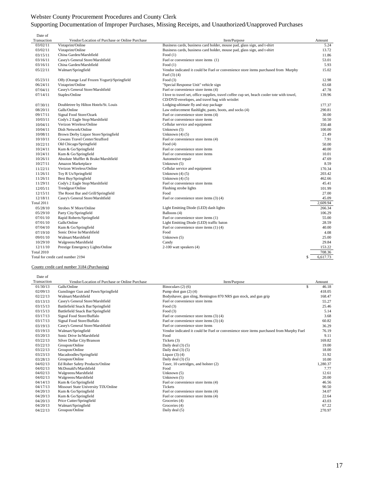## Webster County Procurement Procedures and County Clerk Supporting Documentation of Improper Purchases, Missing Receipts, and Unauthorized/Unapproved Purchases

| Date of           |                                                |                                                                                             |                |
|-------------------|------------------------------------------------|---------------------------------------------------------------------------------------------|----------------|
| Transaction       | Vendor/Location of Purchase or Online Purchase | Item/Purpose                                                                                | Amount         |
| 03/02/11          | Vistaprint/Online                              | Business cards, business card holder, mouse pad, glass sign, and t-shirt                    | 5.24           |
| 03/02/11          | Vistaprint/Online                              | Business cards, business card holder, mouse pad, glass sign, and t-shirt                    | 13.72          |
| 03/15/11          | China Garden/Marshfield                        | Food $(1)$                                                                                  | 11.86          |
| 03/16/11          | Casey's General Store/Marshfield               | Fuel or convenience store items (1)                                                         | 53.01          |
| 03/16/11          | China Garden/Marshfield                        | Food $(1)$                                                                                  | 5.93           |
| 05/22/11          | Walmart/Springfield                            | Vendor indicated it could be Fuel or convenience store items purchased from Murphy          | 15.02          |
|                   |                                                | Fuel $(3)$ $(4)$                                                                            |                |
| 05/23/11          | Olfy (Orange Leaf Frozen Yogurt)/Springfield   | Food $(3)$                                                                                  | 12.98          |
| 06/24/11          | Vistaprint/Online                              | "Special Response Unit" vehicle sign                                                        | 63.68          |
| 07/04/11          | Casey's General Store/Marshfield               | Fuel or convenience store items (4)                                                         | 47.78          |
| 07/14/11          | Staples/Online                                 | I love to travel set, office supplies, travel coffee cup set, beach cooler tote with towel, | 139.96         |
|                   |                                                | CD/DVD envelopes, and travel bag with wristlet                                              |                |
| 07/30/11          | Doubletree by Hilton Hotels/St. Louis          | Lodging-ultimate fly and stay package                                                       | 177.37         |
| 08/20/11          | Galls/Online                                   | Law enforcement flashlight, pants, boots, and socks (4)                                     | 290.81         |
| 09/17/11          | Signal Food Store/Ozark                        | Fuel or convenience store items (4)                                                         | 30.00          |
| 10/03/11          | Cody's 2 Eagle Stop/Marshfield                 | Fuel or convenience store items                                                             | 50.50          |
| 10/04/11          | Verizon Wireless/Online                        | Cellular service and equipment                                                              | 350.48         |
| 10/04/11          | Dish Network/Online                            | Unknown (5)                                                                                 | 100.00         |
| 10/08/11          | Brown Derby Liquor Store/Springfield           | Unknown $(4)$ $(5)$                                                                         | 21.49          |
| 10/10/11          | Cowans Travel Center/Strafford                 | Fuel or convenience store items (4)                                                         | 7.91           |
| 10/22/11          | Old Chicago/Springfield                        | Food $(4)$                                                                                  | 50.00          |
| 10/24/11          | Kum & Go/Springfield                           | Fuel or convenience store items                                                             | 40.00          |
| 10/24/11          | Kum & Go/Springfield                           | Fuel or convenience store items                                                             | 10.01          |
| 10/26/11          | Absolute Muffler & Brake/Marshfield            | Automotive repair                                                                           | 47.69          |
| 10/27/11          | Amazon Marketplace                             | Unknown (5)                                                                                 | 8.59           |
| 11/22/11          | Verizon Wireless/Online                        | Cellular service and equipment                                                              | 170.34         |
| 11/26/11          | Toy R Us/Springfield                           | Unknown $(4)$ $(5)$                                                                         | 203.42         |
| 11/26/11          | Best Buy/Springfield                           | Unknown $(4)$ $(5)$                                                                         | 462.66         |
| 11/29/11          | Cody's 2 Eagle Stop/Marshfield                 | Fuel or convenience store items                                                             | 45.41          |
| 12/05/11          | Trendgear/Online                               | Flashing strobe lights                                                                      | 101.99         |
| 12/15/11          | The Roost Bar and Grill/Springfield            | Food                                                                                        | 27.00          |
| 12/18/11          | Casey's General Store/Marshfield               | Fuel or convenience store items $(3)$ $(4)$                                                 | 45.09          |
| <b>Total 2011</b> |                                                |                                                                                             | 2.609.94       |
| 05/28/10          | Strobes N' More/Online                         | Light Emitting Diode (LED) dash lights                                                      | 266.34         |
| 05/29/10          | Party City/Springfield                         | Balloons (4)                                                                                | 106.29         |
| 07/01/10          | Rapid Roberts/Springfield                      | Fuel or convenience store items (1)                                                         | 55.00          |
| 07/01/10          | Galls/Online                                   | Light Emitting Diode (LED) traffic baton                                                    | 28.59          |
| 07/04/10          | Kum & Go/Springfield                           | Fuel or convenience store items (1)(4)                                                      | 40.00          |
| 07/19/10          | Sonic Drive In/Marshfield                      | Food                                                                                        | 4.08           |
| 09/01/10          | Walmart/Marshfield                             | Unknown (5)                                                                                 | 25.00          |
| 10/29/10          | Walgreens/Marshfield                           | Candy                                                                                       | 29.84          |
| 12/11/10          | Prestige Emergency Lights/Online               | 2-100 watt speakers (4)                                                                     | 153.22         |
| Total 2010        |                                                |                                                                                             | 708.36         |
|                   | Total for credit card number 2194              |                                                                                             | 6,617.73<br>\$ |
|                   |                                                |                                                                                             |                |

#### County credit card number 3184 (Purchasing)

Date of

| Transaction | Vendor/Location of Purchase or Online Purchase | Item/Purpose                                                                            | Amount   |
|-------------|------------------------------------------------|-----------------------------------------------------------------------------------------|----------|
| 01/30/13    | Galls/Online                                   | \$<br>Binoculars $(2)$ (6)                                                              | 46.18    |
| 02/09/13    | Gunslinger Gun and Pawn/Springfield            | Pump shot gun $(2)$ $(4)$                                                               | 418.05   |
| 02/22/13    | Walmart/Marshfield                             | Bodyshaver, gun sling, Remington 870 NRS gun stock, and gun grip                        | 168.47   |
| 03/13/13    | Casey's General Store/Marshfield               | Fuel or convenience store items                                                         | 55.27    |
| 03/15/13    | Battlefield Snack Bar/Springfield              | Food $(3)$                                                                              | 25.46    |
| 03/15/13    | Battlefield Snack Bar/Springfield              | Food $(3)$                                                                              | 5.14     |
| 03/17/13    | Signal Food Store/Buffalo                      | Fuel or convenience store items (3) (4)                                                 | 3.68     |
| 03/17/13    | Signal Food Store/Buffalo                      | Fuel or convenience store items (3) (4)                                                 | 60.82    |
| 03/19/13    | Casey's General Store/Marshfield               | Fuel or convenience store items                                                         | 36.29    |
| 03/19/13    | Walmart/Springfield                            | Vendor indicated it could be Fuel or convenience store items purchased from Murphy Fuel | 76.19    |
| 03/20/13    | Sonic Drive In/Marshfield                      | Food                                                                                    | 9.11     |
| 03/22/13    | Silver Dollar City/Branson                     | Tickets (3)                                                                             | 169.82   |
| 03/22/13    | Groupon/Online                                 | Daily deal $(3)(5)$                                                                     | 19.00    |
| 03/22/13    | Groupon/Online                                 | Daily deal $(3)(5)$                                                                     | 18.00    |
| 03/23/13    | Macadoodles/Springfield                        | Liquor $(3)$ $(4)$                                                                      | 31.92    |
| 03/28/13    | Groupon/Online                                 | Daily deal $(3)(5)$                                                                     | 10.00    |
| 04/02/13    | Ed Roher Safety Products/Online                | Taser, 10 cartridges, and holster (2)                                                   | 1,280.37 |
| 04/02/13    | McDonald's/Marshfield                          | Food                                                                                    | 7.77     |
| 04/02/13    | Walgreens/Marshfield                           | Unknown $(5)$                                                                           | 12.61    |
| 04/02/13    | Walgreens/Marshfield                           | Unknown (5)                                                                             | 20.00    |
| 04/14/13    | Kum & Go/Springfield                           | Fuel or convenience store items (4)                                                     | 46.56    |
| 04/17/13    | Missouri State University TIX/Online           | Tickets                                                                                 | 90.50    |
| 04/20/13    | Kum & Go/Springfield                           | Fuel or convenience store items (4)                                                     | 34.07    |
| 04/20/13    | Kum & Go/Springfield                           | Fuel or convenience store items (4)                                                     | 22.64    |
| 04/20/13    | Price Cutter/Springfield                       | Groceries (4)                                                                           | 43.03    |
| 04/20/13    | Walmart/Springfield                            | Groceries (4)                                                                           | 67.22    |
| 04/22/13    | Groupon/Online                                 | Daily deal (5)                                                                          | 270.97   |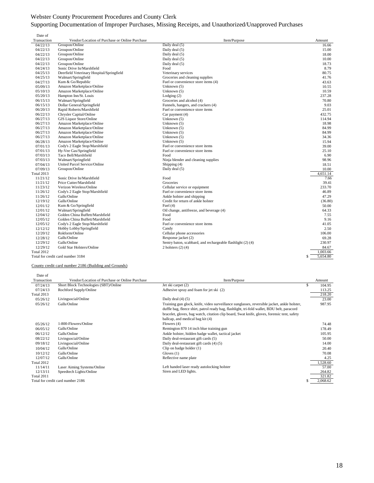## Supporting Documentation of Improper Purchases, Missing Receipts, and Unauthorized/Unapproved Purchases

| Date of<br>Transaction | Vendor/Location of Purchase or Online Purchase                   | Item/Purpose                                               | Amount         |
|------------------------|------------------------------------------------------------------|------------------------------------------------------------|----------------|
| 04/22/13               | Groupon/Online                                                   | Daily deal (5)                                             | 16.66          |
| 04/22/13               | Groupon/Online                                                   | Daily deal (5)                                             | 15.00          |
| 04/22/13               | Groupon/Online                                                   | Daily deal (5)                                             | 18.00          |
| 04/22/13               | Groupon/Online                                                   | Daily deal (5)                                             | 10.00          |
| 04/22/13               | Groupon/Online                                                   | Daily deal (5)                                             | 18.73          |
| 04/24/13               | Sonic Drive In/Marshfield                                        | Food                                                       | 8.79           |
| 04/25/13               |                                                                  | Veterinary services                                        | 80.75          |
| 04/25/13               | Deerfield Veterinary Hospital/Springfield<br>Walmart/Springfield | Groceries and cleaning supplies                            | 41.76          |
|                        | Kum & Go/Republic                                                | Fuel or convenience store items (4)                        |                |
| 04/27/13               | Amazon Marketplace/Online                                        | Unknown (5)                                                | 43.63          |
| 05/09/13               |                                                                  |                                                            | 10.55          |
| 05/10/13               | Amazon Marketplace/Online                                        | Unknown (5)                                                | 10.59          |
| 05/20/13               | Hampton Inn/St. Louis                                            | Lodging $(2)$                                              | 237.28         |
| 06/15/13               | Walmart/Springfield                                              | Groceries and alcohol (4)                                  | 70.80          |
| 06/15/13               | Dollar General/Springfield                                       | Funnels, hangers, and crackers (4)                         | 9.03           |
| 06/20/13               | Rapid Roberts/Marshfield                                         | Fuel or convenience store items                            | 25.01          |
| 06/22/13               | Chrysler Capital/Online                                          | Car payment (4)                                            | 432.75         |
| 06/27/13               | <b>GJS</b> Liquor Store/Online                                   | Unknown (5)                                                | 114.94         |
| 06/27/13               | Amazon Marketplace/Online                                        | Unknown (5)                                                | 18.98          |
| 06/27/13               | Amazon Marketplace/Online                                        | Unknown (5)                                                | 84.99          |
| 06/27/13               | Amazon Marketplace/Online                                        | Unknown (5)                                                | 84.99          |
| 06/27/13               | Amazon Marketplace/Online                                        | Unknown (5)                                                | 34.36          |
| 06/28/13               | Amazon Marketplace/Online                                        | Unknown (5)                                                | 15.94          |
| 07/01/13               | Cody's 2 Eagle Stop/Marshfield                                   | Fuel or convenience store items                            | 39.00          |
| 07/01/13               | Hy-Vee Gas/Springfield                                           | Fuel or convenience store items                            | 25.10          |
| 07/03/13               | Taco Bell/Marshfield                                             | Food                                                       | 6.90           |
| 07/03/13               | Walmart/Springfield                                              | Ninja blender and cleaning supplies                        | 98.96          |
| 07/04/13               | United Parcel Service/Online                                     | Shipping (4)                                               | 18.51          |
| 07/09/13               | Groupon/Online                                                   | Daily deal (5)                                             | 10.00          |
| <b>Total 2013</b>      |                                                                  |                                                            | 4.651.14       |
| 11/21/12               | Sonic Drive In/Marshfield                                        | Food                                                       | 7.66           |
| 11/21/12               | Price Cutter/Marshfield                                          | Groceries                                                  | 39.41          |
| 11/23/12               | Verizon Wireless/Online                                          | Cellular service or equipment                              | 233.70         |
| 11/26/12               | Cody's 2 Eagle Stop/Marshfield                                   | Fuel or convenience store items                            | 46.89          |
| 11/26/12               | Galls/Online                                                     | Ankle holster and shipping                                 | 47.29          |
| 12/19/12               | Galls/Online                                                     | Credit for return of ankle holster                         | (36.80)        |
| 12/01/12               | Kum & Go/Springfield                                             | Fuel $(4)$                                                 | 50.00          |
| 12/01/12               | Walmart/Springfield                                              | Oil change, antifreeze, and beverage (4)                   | 64.33          |
| 12/04/12               | Golden China Buffett/Marshfield                                  | Food                                                       | 7.55           |
| 12/05/12               | Golden China Buffett/Marshfield                                  | Food                                                       | 9.16           |
| 12/05/12               | Cody's 2 Eagle Stop/Marshfield                                   | Fuel or convenience store items                            | 41.05          |
| 12/12/12               | Hobby Lobby/Springfield                                          | Candy                                                      | 2.50           |
| 12/20/12               | Rokform/Online                                                   | Cellular phone accessories                                 | 106.00         |
| 12/28/12               | Galls/Online                                                     | Response jacket (2)                                        | 69.28          |
| 12/29/12               | Galls/Online                                                     | Sentry baton, scabbard, and rechargeable flashlight (2)(4) | 230.97         |
| 12/29/12               | Gold Star Holsters/Online                                        | $2$ holsters $(2)$ $(4)$                                   | 84.67          |
| <b>Total 2012</b>      |                                                                  |                                                            | 1,003.66       |
|                        | Total for credit card number 3184                                |                                                            | 5,654.80<br>\$ |
|                        |                                                                  |                                                            |                |

#### County credit card number 2186 (Building and Grounds)

| Date of     |                                                |                                                                                             |              |
|-------------|------------------------------------------------|---------------------------------------------------------------------------------------------|--------------|
| Transaction | Vendor/Location of Purchase or Online Purchase | Item/Purpose                                                                                | Amount       |
| 07/24/13    | Short Block Technologies (SBT)/Online          | Jet ski carpet (2)                                                                          | \$<br>104.95 |
| 07/24/13    | Rochford Supply/Online                         | Adhesive spray and foam for jet ski (2)                                                     | 113.25       |
| Total 2013  |                                                |                                                                                             | 218.20       |
| 05/26/12    | Livingsocial/Online                            | Daily deal $(4)$ $(5)$                                                                      | 23.00        |
| 05/26/12    | Galls/Online                                   | Training gun glock, knife, video surveillance sunglasses, reversible jacket, ankle holster, | 987.95       |
|             |                                                | duffle bag, fleece shirt, patrol ready bag, flashlight, tri-fold wallet, BDU belt, paracord |              |
|             |                                                | bracelet, gloves, bag watch, citation clip board, Swat knife, gloves, forensic tent, safety |              |
|             |                                                | ballcap, and medical bag kit (4)                                                            |              |
| 05/26/12    | 1-800-Flowers/Online                           | Flowers $(4)$                                                                               | 74.48        |
| 06/05/12    | Galls/Online                                   | Remington 870 14 inch blue training gun                                                     | 178.49       |
| 06/12/12    | Galls/Online                                   | Ankle holster, hidden badge wallet, tactical jacket                                         | 105.95       |
| 08/22/12    | Livingsocial/Online                            | Daily deal-restaurant gift cards (5)                                                        | 50.00        |
| 09/18/12    | Livingsocial/Online                            | Daily deal-restaurant gift cards (4) (5)                                                    | 14.00        |
| 10/04/12    | Galls/Online                                   | Clip on badge holder (1)                                                                    | 20.40        |
| 10/12/12    | Galls/Online                                   | Gloves(1)                                                                                   | 70.08        |
| 12/07/12    | Galls/Online                                   | Reflective name plate                                                                       | 4.25         |
| Total 2012  |                                                |                                                                                             | 1,528.60     |
| 11/14/11    | Laser Aiming Systems/Online                    | Left handed laser ready autolocking holster                                                 | 57.00        |
| 12/13/11    | Speedtech Lights/Online                        | Siren and LED lights.                                                                       | 264.82       |
| Total 2011  |                                                |                                                                                             | 321.82       |
|             | Total for credit card number 2186              |                                                                                             | 2,068.62     |
|             |                                                |                                                                                             |              |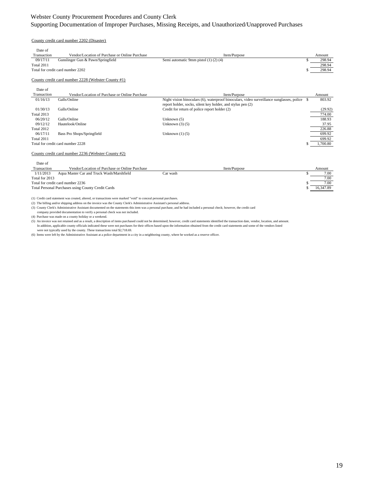#### Supporting Documentation of Improper Purchases, Missing Receipts, and Unauthorized/Unapproved Purchases

#### County credit card number 2202 (Disaster)

| Date of     |                                                |                                       |        |
|-------------|------------------------------------------------|---------------------------------------|--------|
| Transaction | Vendor/Location of Purchase or Online Purchase | Item/Purpose                          | Amount |
| 09/17/11    | Gunslinger Gun & Pawn/Springfield              | Semi automatic 9mm pistol (1) (2) (4) | 298.94 |
| Total 2011  |                                                |                                       | 298.94 |
|             | Total for credit card number 2202              |                                       | 298.94 |

#### County credit card number 2228 (Webster County #1)

| Date of     |                                                |                                                                                                                                                             |          |
|-------------|------------------------------------------------|-------------------------------------------------------------------------------------------------------------------------------------------------------------|----------|
| Transaction | Vendor/Location of Purchase or Online Purchase | Item/Purpose                                                                                                                                                | Amount   |
| 01/16/13    | Galls/Online                                   | Night vision binoculars (6), waterproof binoculars, video surveillance sunglasses, police \$<br>report holder, socks, silent key holder, and stylus pen (2) | 803.92   |
| 01/30/13    | Galls/Online                                   | Credit for return of police report holder (2)                                                                                                               | (29.92)  |
| Total 2013  |                                                |                                                                                                                                                             | 774.00   |
| 06/20/12    | Galls/Online                                   | Unknown $(5)$                                                                                                                                               | 188.93   |
| 09/12/12    | Hautelook/Online                               | Unknown $(3)$ $(5)$                                                                                                                                         | 37.95    |
| Total 2012  |                                                |                                                                                                                                                             | 226.88   |
| 06/17/11    | Bass Pro Shops/Springfield                     | Unknown $(1)$ $(5)$                                                                                                                                         | 699.92   |
| Total 2011  |                                                |                                                                                                                                                             | 699.92   |
|             | Total for credit card number 2228              |                                                                                                                                                             | 1,700.80 |
|             |                                                |                                                                                                                                                             |          |

#### County credit card number 2236 (Webster County #2)

| Date of                                            |                                                |          |              |  |           |
|----------------------------------------------------|------------------------------------------------|----------|--------------|--|-----------|
| Transaction                                        | Vendor/Location of Purchase or Online Purchase |          | Item/Purpose |  | Amount    |
| 1/11/2013                                          | Aqua Master Car and Truck Wash/Marshfield      | Car wash |              |  | 7.00      |
| Total for 2013                                     |                                                |          |              |  | 7.00      |
|                                                    | Total for credit card number 2236              |          |              |  | 7.00      |
| Total Personal Purchases using County Credit Cards |                                                |          |              |  | 16.347.89 |

(1) Credit card statement was created, altered, or transactions were marked "void" to conceal personal purchases.

(2) The billing and/or shipping address on the invoice was the County Clerk's Administrative Assistant's personal address.

(3) County Clerk's Administrative Assistant documented on the statements this item was a personal purchase, and he had included a personal check; however, the credit card

company provided documentation to verify a personal check was not included.

(4) Purchase was made on a county holiday or a weekend.

(5) An invoice was not retained and as a result, a description of items purchased could not be determined; however, credit card statements identified the transaction date, vendor, location, and amount.<br>In addition, applica were not typically used by the county. These transactions total \$2,718.69.

(6) Items were left by the Administrative Assistant at a police department in a city in a neighboring county, where he worked as a reserve officer.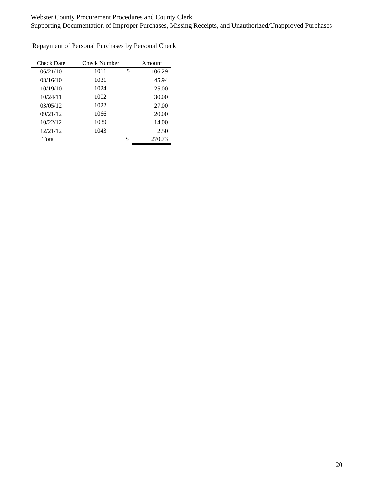Supporting Documentation of Improper Purchases, Missing Receipts, and Unauthorized/Unapproved Purchases

| <b>Check Date</b> | Check Number |    | Amount |
|-------------------|--------------|----|--------|
| 06/21/10          | 1011         | \$ | 106.29 |
| 08/16/10          | 1031         |    | 45.94  |
| 10/19/10          | 1024         |    | 25.00  |
| 10/24/11          | 1002         |    | 30.00  |
| 03/05/12          | 1022         |    | 27.00  |
| 09/21/12          | 1066         |    | 20.00  |
| 10/22/12          | 1039         |    | 14.00  |
| 12/21/12          | 1043         |    | 2.50   |
| Total             |              | S  | 270.73 |

Repayment of Personal Purchases by Personal Check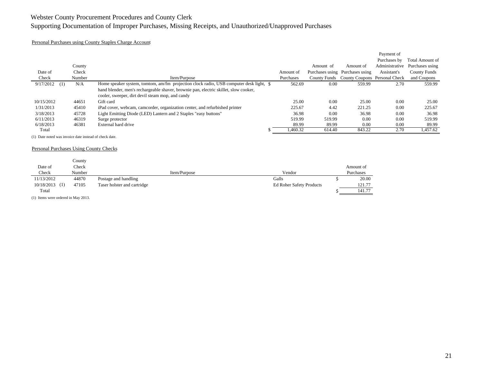## Supporting Documentation of Improper Purchases, Missing Receipts, and Unauthorized/Unapproved Purchases

#### Personal Purchases using County Staples Charge Account

|            |     |        |                                                                                        |           |           |                                            | Payment of     |                     |
|------------|-----|--------|----------------------------------------------------------------------------------------|-----------|-----------|--------------------------------------------|----------------|---------------------|
|            |     |        |                                                                                        |           |           |                                            | Purchases by   | Total Amount of     |
|            |     | County |                                                                                        |           | Amount of | Amount of                                  | Administrative | Purchases using     |
| Date of    |     | Check  |                                                                                        | Amount of |           | Purchases using Purchases using            | Assistant's    | <b>County Funds</b> |
| Check      |     | Number | Item/Purpose                                                                           | Purchases |           | County Funds County Coupons Personal Check |                | and Coupons         |
| 9/17/2012  | (1) | N/A    | Home speaker system, tomtom, am/fm projection clock radio, USB computer desk light, \$ | 562.69    | 0.00      | 559.99                                     | 2.70           | 559.99              |
|            |     |        | hand blender, men's rechargeable shaver, brownie pan, electric skillet, slow cooker,   |           |           |                                            |                |                     |
|            |     |        | cooler, sweeper, dirt devil steam mop, and candy                                       |           |           |                                            |                |                     |
| 10/15/2012 |     | 44651  | Gift card                                                                              | 25.00     | 0.00      | 25.00                                      | 0.00           | 25.00               |
| 1/31/2013  |     | 45410  | iPad cover, webcam, camcorder, organization center, and refurbished printer            | 225.67    | 4.42      | 221.25                                     | 0.00           | 225.67              |
| 3/18/2013  |     | 45728  | Light Emitting Diode (LED) Lantern and 2 Staples "easy buttons"                        | 36.98     | 0.00      | 36.98                                      | 0.00           | 36.98               |
| 6/11/2013  |     | 46319  | Surge protector                                                                        | 519.99    | 519.99    | 0.00                                       | 0.00           | 519.99              |
| 6/18/2013  |     | 46381  | External hard drive                                                                    | 89.99     | 89.99     | 0.00                                       | 0.00           | 89.99               |
| Total      |     |        |                                                                                        | 460.32    | 614.40    | 843.22                                     | 2.70           | 1,457.62            |

(1) Date noted was invoice date instead of check date.

#### Personal Purchases Using County Checks

|                  | County |                             |              |                                 |           |
|------------------|--------|-----------------------------|--------------|---------------------------------|-----------|
| Date of          | Check  |                             |              |                                 | Amount of |
| Check            | Number |                             | Item/Purpose | Vendor                          | Purchases |
| 11/13/2012       | 44870  | Postage and handling        |              | Galls                           | 20.00     |
| $10/18/2013$ (1) | 47105  | Taser holster and cartridge |              | <b>Ed Roher Safety Products</b> | 121.77    |
| Total            |        |                             |              |                                 | 141.77    |

(1) Items were ordered in May 2013.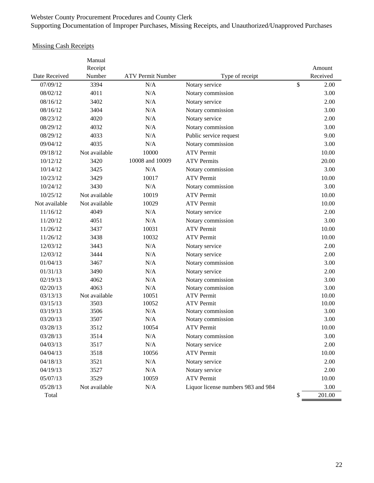## Webster County Procurement Procedures and County Clerk Supporting Documentation of Improper Purchases, Missing Receipts, and Unauthorized/Unapproved Purchases

## Missing Cash Receipts

|               | Manual<br>Receipt |                          |                                    | Amount       |
|---------------|-------------------|--------------------------|------------------------------------|--------------|
| Date Received | Number            | <b>ATV Permit Number</b> | Type of receipt                    | Received     |
| 07/09/12      | 3394              | N/A                      | Notary service                     | \$<br>2.00   |
| 08/02/12      | 4011              | N/A                      | Notary commission                  | 3.00         |
| 08/16/12      | 3402              | N/A                      | Notary service                     | 2.00         |
| 08/16/12      | 3404              | N/A                      | Notary commission                  | 3.00         |
| 08/23/12      | 4020              | N/A                      | Notary service                     | 2.00         |
| 08/29/12      | 4032              | N/A                      | Notary commission                  | 3.00         |
| 08/29/12      | 4033              | N/A                      | Public service request             | 9.00         |
| 09/04/12      | 4035              | N/A                      | Notary commission                  | 3.00         |
| 09/18/12      | Not available     | 10000                    | <b>ATV Permit</b>                  | 10.00        |
| 10/12/12      | 3420              | 10008 and 10009          | <b>ATV</b> Permits                 | 20.00        |
| 10/14/12      | 3425              | N/A                      | Notary commission                  | 3.00         |
| 10/23/12      | 3429              | 10017                    | <b>ATV</b> Permit                  | 10.00        |
| 10/24/12      | 3430              | N/A                      | Notary commission                  | 3.00         |
| 10/25/12      | Not available     | 10019                    | <b>ATV</b> Permit                  | 10.00        |
| Not available | Not available     | 10029                    | <b>ATV</b> Permit                  | 10.00        |
| 11/16/12      | 4049              | N/A                      | Notary service                     | 2.00         |
| 11/20/12      | 4051              | N/A                      | Notary commission                  | 3.00         |
| 11/26/12      | 3437              | 10031                    | <b>ATV</b> Permit                  | 10.00        |
| 11/26/12      | 3438              | 10032                    | <b>ATV</b> Permit                  | 10.00        |
| 12/03/12      | 3443              | N/A                      | Notary service                     | 2.00         |
| 12/03/12      | 3444              | N/A                      | Notary service                     | 2.00         |
| 01/04/13      | 3467              | N/A                      | Notary commission                  | 3.00         |
| 01/31/13      | 3490              | N/A                      | Notary service                     | 2.00         |
| 02/19/13      | 4062              | N/A                      | Notary commission                  | 3.00         |
| 02/20/13      | 4063              | N/A                      | Notary commission                  | 3.00         |
| 03/13/13      | Not available     | 10051                    | <b>ATV Permit</b>                  | 10.00        |
| 03/15/13      | 3503              | 10052                    | <b>ATV</b> Permit                  | 10.00        |
| 03/19/13      | 3506              | N/A                      | Notary commission                  | 3.00         |
| 03/20/13      | 3507              | N/A                      | Notary commission                  | 3.00         |
| 03/28/13      | 3512              | 10054                    | <b>ATV Permit</b>                  | 10.00        |
| 03/28/13      | 3514              | N/A                      | Notary commission                  | 3.00         |
| 04/03/13      | 3517              | N/A                      | Notary service                     | 2.00         |
| 04/04/13      | 3518              | 10056                    | <b>ATV Permit</b>                  | 10.00        |
| 04/18/13      | 3521              | N/A                      | Notary service                     | 2.00         |
| 04/19/13      | 3527              | N/A                      | Notary service                     | 2.00         |
| 05/07/13      | 3529              | 10059                    | <b>ATV Permit</b>                  | 10.00        |
| 05/28/13      | Not available     | N/A                      | Liquor license numbers 983 and 984 | 3.00         |
| Total         |                   |                          |                                    | \$<br>201.00 |